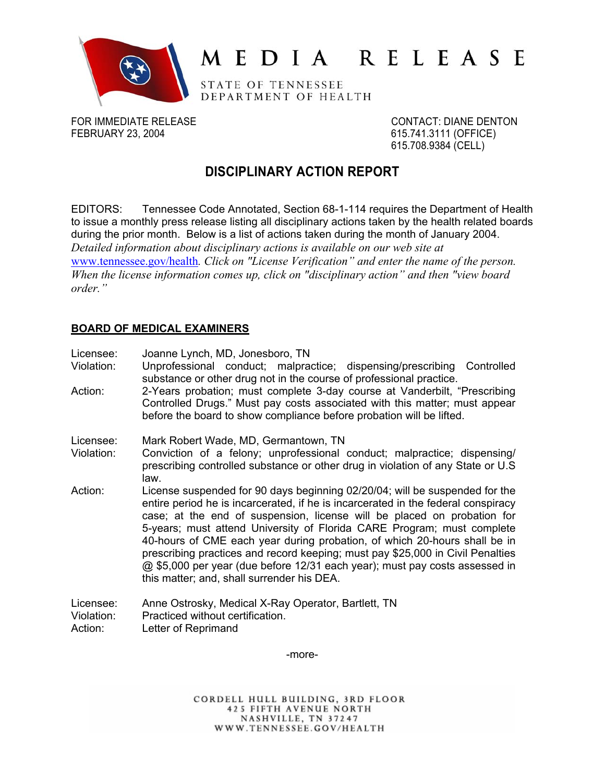

# MEDIA RELEASE

STATE OF TENNESSEE DEPARTMENT OF HEALTH

FOR IMMEDIATE RELEASE CONTACT: DIANE DENTON FEBRUARY 23, 2004 615.741.3111 (OFFICE)

615.708.9384 (CELL)

# **DISCIPLINARY ACTION REPORT**

EDITORS: Tennessee Code Annotated, Section 68-1-114 requires the Department of Health to issue a monthly press release listing all disciplinary actions taken by the health related boards during the prior month. Below is a list of actions taken during the month of January 2004. *Detailed information about disciplinary actions is available on our web site at* [www.tennessee.gov/health](http://www.tennessee.gov/health)*. Click on "License Verification" and enter the name of the person. When the license information comes up, click on "disciplinary action" and then "view board order."* 

# **BOARD OF MEDICAL EXAMINERS**

Licensee: Joanne Lynch, MD, Jonesboro, TN

- Violation: Unprofessional conduct; malpractice; dispensing/prescribing Controlled substance or other drug not in the course of professional practice.
- Action: 2-Years probation; must complete 3-day course at Vanderbilt, "Prescribing Controlled Drugs." Must pay costs associated with this matter; must appear before the board to show compliance before probation will be lifted.
- Licensee: Mark Robert Wade, MD, Germantown, TN
- Violation: Conviction of a felony; unprofessional conduct; malpractice; dispensing/ prescribing controlled substance or other drug in violation of any State or U.S law.
- Action: License suspended for 90 days beginning 02/20/04; will be suspended for the entire period he is incarcerated, if he is incarcerated in the federal conspiracy case; at the end of suspension, license will be placed on probation for 5-years; must attend University of Florida CARE Program; must complete 40-hours of CME each year during probation, of which 20-hours shall be in prescribing practices and record keeping; must pay \$25,000 in Civil Penalties @ \$5,000 per year (due before 12/31 each year); must pay costs assessed in this matter; and, shall surrender his DEA.
- Licensee: Anne Ostrosky, Medical X-Ray Operator, Bartlett, TN Violation: Practiced without certification. Action: Letter of Reprimand

-more-

CORDELL HULL BUILDING, 3RD FLOOR **425 FIFTH AVENUE NORTH** NASHVILLE, TN 37247 WWW.TENNESSEE.GOV/HEALTH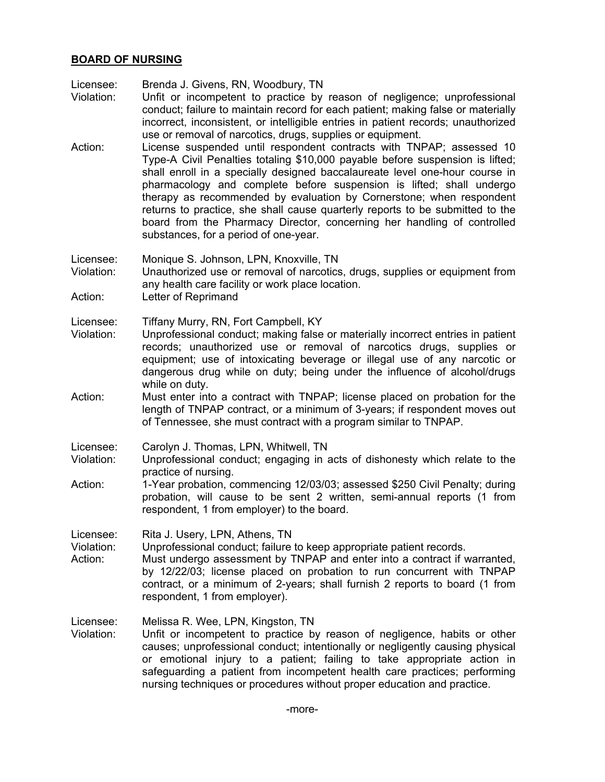#### **BOARD OF NURSING**

Licensee: Brenda J. Givens, RN, Woodbury, TN

- Violation: Unfit or incompetent to practice by reason of negligence; unprofessional conduct; failure to maintain record for each patient; making false or materially incorrect, inconsistent, or intelligible entries in patient records; unauthorized use or removal of narcotics, drugs, supplies or equipment.
- Action: License suspended until respondent contracts with TNPAP; assessed 10 Type-A Civil Penalties totaling \$10,000 payable before suspension is lifted; shall enroll in a specially designed baccalaureate level one-hour course in pharmacology and complete before suspension is lifted; shall undergo therapy as recommended by evaluation by Cornerstone; when respondent returns to practice, she shall cause quarterly reports to be submitted to the board from the Pharmacy Director, concerning her handling of controlled substances, for a period of one-year.

Licensee: Monique S. Johnson, LPN, Knoxville, TN

Violation: Unauthorized use or removal of narcotics, drugs, supplies or equipment from any health care facility or work place location.

Action: Letter of Reprimand

Licensee: Tiffany Murry, RN, Fort Campbell, KY

- Violation: Unprofessional conduct; making false or materially incorrect entries in patient records; unauthorized use or removal of narcotics drugs, supplies or equipment; use of intoxicating beverage or illegal use of any narcotic or dangerous drug while on duty; being under the influence of alcohol/drugs while on duty.
- Action: Must enter into a contract with TNPAP; license placed on probation for the length of TNPAP contract, or a minimum of 3-years; if respondent moves out of Tennessee, she must contract with a program similar to TNPAP.
- Licensee: Carolyn J. Thomas, LPN, Whitwell, TN
- Violation: Unprofessional conduct; engaging in acts of dishonesty which relate to the practice of nursing.
- Action: 1-Year probation, commencing 12/03/03; assessed \$250 Civil Penalty; during probation, will cause to be sent 2 written, semi-annual reports (1 from respondent, 1 from employer) to the board.

Licensee: Rita J. Usery, LPN, Athens, TN

Violation: Unprofessional conduct; failure to keep appropriate patient records.

Action: Must undergo assessment by TNPAP and enter into a contract if warranted, by 12/22/03; license placed on probation to run concurrent with TNPAP contract, or a minimum of 2-years; shall furnish 2 reports to board (1 from respondent, 1 from employer).

Licensee: Melissa R. Wee, LPN, Kingston, TN

Violation: Unfit or incompetent to practice by reason of negligence, habits or other causes; unprofessional conduct; intentionally or negligently causing physical or emotional injury to a patient; failing to take appropriate action in safeguarding a patient from incompetent health care practices; performing nursing techniques or procedures without proper education and practice.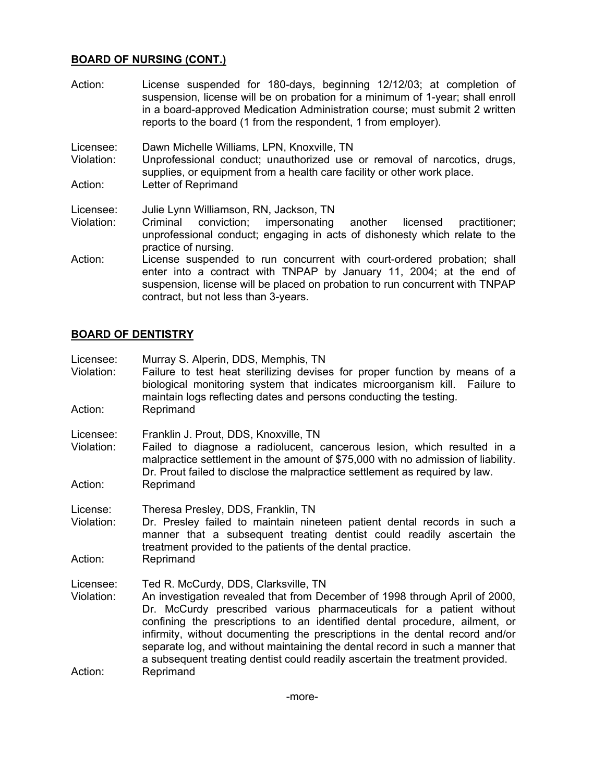# **BOARD OF NURSING (CONT.)**

- Action: License suspended for 180-days, beginning 12/12/03; at completion of suspension, license will be on probation for a minimum of 1-year; shall enroll in a board-approved Medication Administration course; must submit 2 written reports to the board (1 from the respondent, 1 from employer).
- Licensee: Dawn Michelle Williams, LPN, Knoxville, TN

Violation: Unprofessional conduct; unauthorized use or removal of narcotics, drugs, supplies, or equipment from a health care facility or other work place. Action: Letter of Reprimand

- Licensee: Julie Lynn Williamson, RN, Jackson, TN
- Violation: Criminal conviction; impersonating another licensed practitioner; unprofessional conduct; engaging in acts of dishonesty which relate to the practice of nursing.
- Action: License suspended to run concurrent with court-ordered probation; shall enter into a contract with TNPAP by January 11, 2004; at the end of suspension, license will be placed on probation to run concurrent with TNPAP contract, but not less than 3-years.

# **BOARD OF DENTISTRY**

- Licensee: Murray S. Alperin, DDS, Memphis, TN
- Violation: Failure to test heat sterilizing devises for proper function by means of a biological monitoring system that indicates microorganism kill. Failure to maintain logs reflecting dates and persons conducting the testing. Action: Reprimand
- Licensee: Franklin J. Prout, DDS, Knoxville, TN
- Violation: Failed to diagnose a radiolucent, cancerous lesion, which resulted in a malpractice settlement in the amount of \$75,000 with no admission of liability. Dr. Prout failed to disclose the malpractice settlement as required by law. Action: Reprimand
- License: Theresa Presley, DDS, Franklin, TN
- Violation: Dr. Presley failed to maintain nineteen patient dental records in such a manner that a subsequent treating dentist could readily ascertain the treatment provided to the patients of the dental practice. Action: Reprimand
- Licensee: Ted R. McCurdy, DDS, Clarksville, TN
- Violation: An investigation revealed that from December of 1998 through April of 2000, Dr. McCurdy prescribed various pharmaceuticals for a patient without confining the prescriptions to an identified dental procedure, ailment, or infirmity, without documenting the prescriptions in the dental record and/or separate log, and without maintaining the dental record in such a manner that a subsequent treating dentist could readily ascertain the treatment provided. Action: Reprimand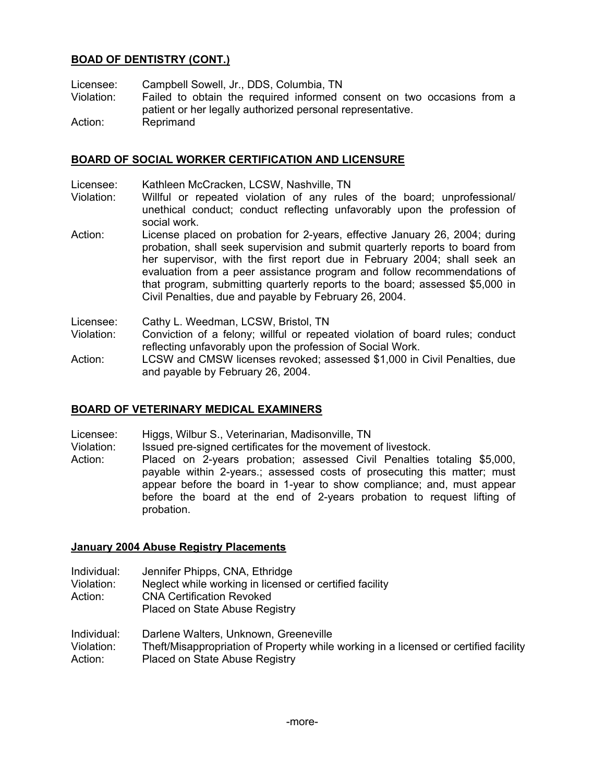# **BOAD OF DENTISTRY (CONT.)**

Licensee: Campbell Sowell, Jr., DDS, Columbia, TN

Violation: Failed to obtain the required informed consent on two occasions from a patient or her legally authorized personal representative.

Action: Reprimand

# **BOARD OF SOCIAL WORKER CERTIFICATION AND LICENSURE**

- Licensee: Kathleen McCracken, LCSW, Nashville, TN
- Violation: Willful or repeated violation of any rules of the board; unprofessional/ unethical conduct; conduct reflecting unfavorably upon the profession of social work.
- Action: License placed on probation for 2-years, effective January 26, 2004; during probation, shall seek supervision and submit quarterly reports to board from her supervisor, with the first report due in February 2004; shall seek an evaluation from a peer assistance program and follow recommendations of that program, submitting quarterly reports to the board; assessed \$5,000 in Civil Penalties, due and payable by February 26, 2004.
- Licensee: Cathy L. Weedman, LCSW, Bristol, TN
- Violation: Conviction of a felony; willful or repeated violation of board rules; conduct reflecting unfavorably upon the profession of Social Work.
- Action: LCSW and CMSW licenses revoked; assessed \$1,000 in Civil Penalties, due and payable by February 26, 2004.

# **BOARD OF VETERINARY MEDICAL EXAMINERS**

- Licensee: Higgs, Wilbur S., Veterinarian, Madisonville, TN
- Violation: Issued pre-signed certificates for the movement of livestock.
- Action: Placed on 2-years probation; assessed Civil Penalties totaling \$5,000, payable within 2-years.; assessed costs of prosecuting this matter; must appear before the board in 1-year to show compliance; and, must appear before the board at the end of 2-years probation to request lifting of probation.

#### **January 2004 Abuse Registry Placements**

- Individual: Jennifer Phipps, CNA, Ethridge
- Violation: Neglect while working in licensed or certified facility
- Action: CNA Certification Revoked
	- Placed on State Abuse Registry
- Individual: Darlene Walters, Unknown, Greeneville
- Violation: Theft/Misappropriation of Property while working in a licensed or certified facility
- Action: Placed on State Abuse Registry